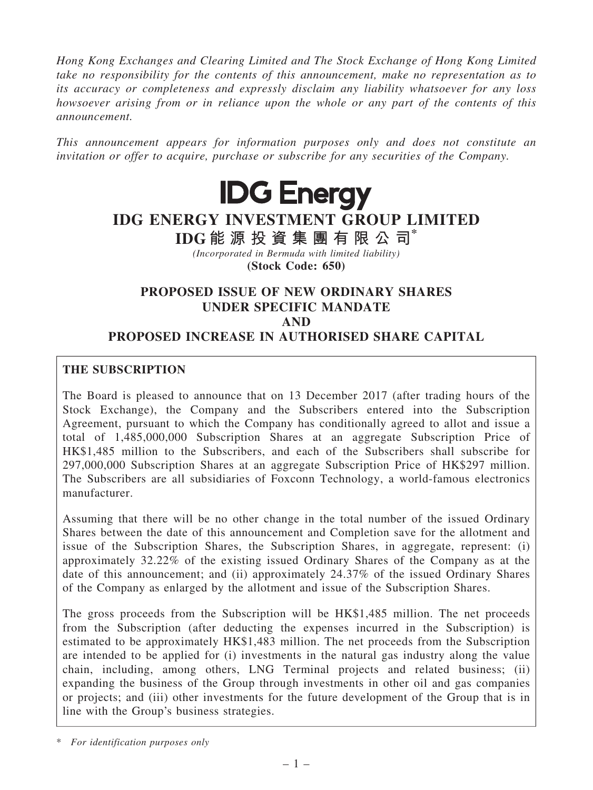*Hong Kong Exchanges and Clearing Limited and The Stock Exchange of Hong Kong Limited take no responsibility for the contents of this announcement, make no representation as to its accuracy or completeness and expressly disclaim any liability whatsoever for any loss howsoever arising from or in reliance upon the whole or any part of the contents of this announcement.*

*This announcement appears for information purposes only and does not constitute an invitation or offer to acquire, purchase or subscribe for any securities of the Company.*



# IDG ENERGY INVESTMENT GROUP LIMITED

IDG 能 源 投 資 集 團 有 限 公 司\*

*(Incorporated in Bermuda with limited liability)* (Stock Code: 650)

# PROPOSED ISSUE OF NEW ORDINARY SHARES UNDER SPECIFIC MANDATE AND PROPOSED INCREASE IN AUTHORISED SHARE CAPITAL

## THE SUBSCRIPTION

The Board is pleased to announce that on 13 December 2017 (after trading hours of the Stock Exchange), the Company and the Subscribers entered into the Subscription Agreement, pursuant to which the Company has conditionally agreed to allot and issue a total of 1,485,000,000 Subscription Shares at an aggregate Subscription Price of HK\$1,485 million to the Subscribers, and each of the Subscribers shall subscribe for 297,000,000 Subscription Shares at an aggregate Subscription Price of HK\$297 million. The Subscribers are all subsidiaries of Foxconn Technology, a world-famous electronics manufacturer.

Assuming that there will be no other change in the total number of the issued Ordinary Shares between the date of this announcement and Completion save for the allotment and issue of the Subscription Shares, the Subscription Shares, in aggregate, represent: (i) approximately 32.22% of the existing issued Ordinary Shares of the Company as at the date of this announcement; and (ii) approximately 24.37% of the issued Ordinary Shares of the Company as enlarged by the allotment and issue of the Subscription Shares.

The gross proceeds from the Subscription will be HK\$1,485 million. The net proceeds from the Subscription (after deducting the expenses incurred in the Subscription) is estimated to be approximately HK\$1,483 million. The net proceeds from the Subscription are intended to be applied for (i) investments in the natural gas industry along the value chain, including, among others, LNG Terminal projects and related business; (ii) expanding the business of the Group through investments in other oil and gas companies or projects; and (iii) other investments for the future development of the Group that is in line with the Group's business strategies.

\* *For identification purposes only*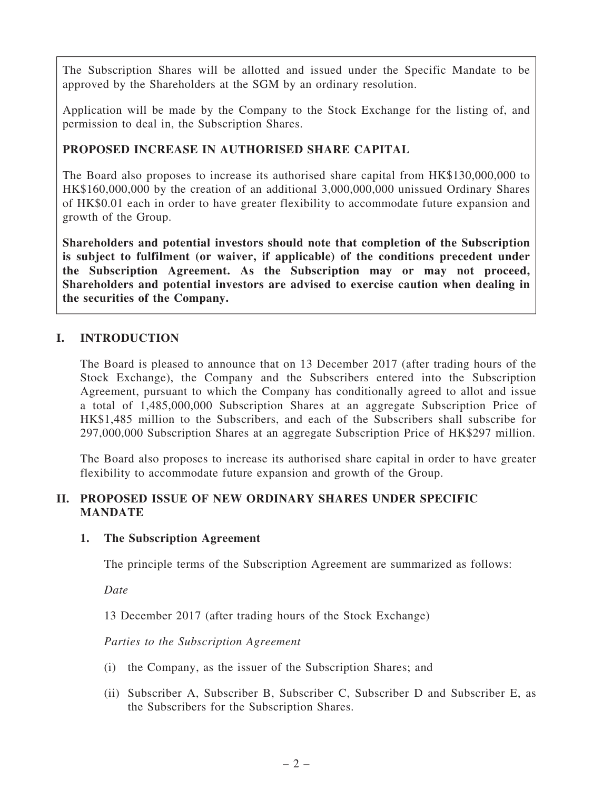The Subscription Shares will be allotted and issued under the Specific Mandate to be approved by the Shareholders at the SGM by an ordinary resolution.

Application will be made by the Company to the Stock Exchange for the listing of, and permission to deal in, the Subscription Shares.

# PROPOSED INCREASE IN AUTHORISED SHARE CAPITAL

The Board also proposes to increase its authorised share capital from HK\$130,000,000 to HK\$160,000,000 by the creation of an additional 3,000,000,000 unissued Ordinary Shares of HK\$0.01 each in order to have greater flexibility to accommodate future expansion and growth of the Group.

Shareholders and potential investors should note that completion of the Subscription is subject to fulfilment (or waiver, if applicable) of the conditions precedent under the Subscription Agreement. As the Subscription may or may not proceed, Shareholders and potential investors are advised to exercise caution when dealing in the securities of the Company.

# I. INTRODUCTION

The Board is pleased to announce that on 13 December 2017 (after trading hours of the Stock Exchange), the Company and the Subscribers entered into the Subscription Agreement, pursuant to which the Company has conditionally agreed to allot and issue a total of 1,485,000,000 Subscription Shares at an aggregate Subscription Price of HK\$1,485 million to the Subscribers, and each of the Subscribers shall subscribe for 297,000,000 Subscription Shares at an aggregate Subscription Price of HK\$297 million.

The Board also proposes to increase its authorised share capital in order to have greater flexibility to accommodate future expansion and growth of the Group.

## II. PROPOSED ISSUE OF NEW ORDINARY SHARES UNDER SPECIFIC MANDATE

## 1. The Subscription Agreement

The principle terms of the Subscription Agreement are summarized as follows:

*Date*

13 December 2017 (after trading hours of the Stock Exchange)

*Parties to the Subscription Agreement*

- (i) the Company, as the issuer of the Subscription Shares; and
- (ii) Subscriber A, Subscriber B, Subscriber C, Subscriber D and Subscriber E, as the Subscribers for the Subscription Shares.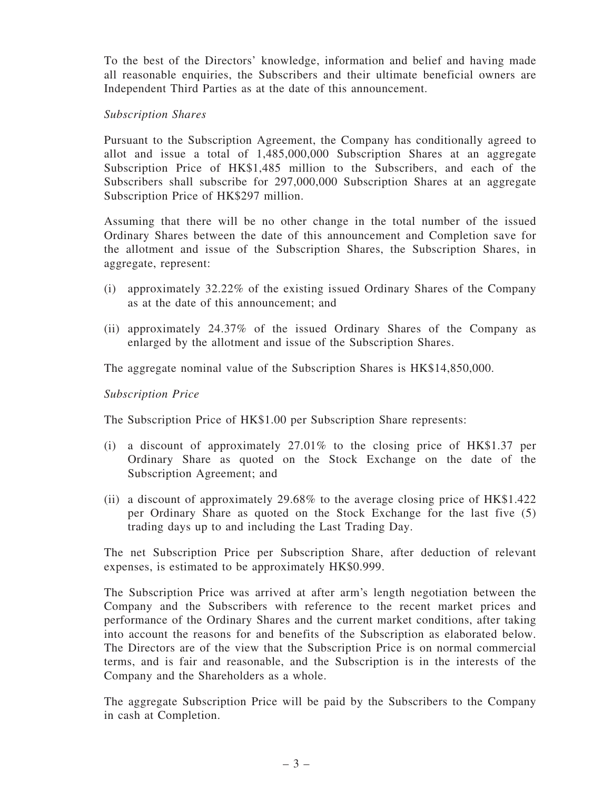To the best of the Directors' knowledge, information and belief and having made all reasonable enquiries, the Subscribers and their ultimate beneficial owners are Independent Third Parties as at the date of this announcement.

#### *Subscription Shares*

Pursuant to the Subscription Agreement, the Company has conditionally agreed to allot and issue a total of 1,485,000,000 Subscription Shares at an aggregate Subscription Price of HK\$1,485 million to the Subscribers, and each of the Subscribers shall subscribe for 297,000,000 Subscription Shares at an aggregate Subscription Price of HK\$297 million.

Assuming that there will be no other change in the total number of the issued Ordinary Shares between the date of this announcement and Completion save for the allotment and issue of the Subscription Shares, the Subscription Shares, in aggregate, represent:

- (i) approximately 32.22% of the existing issued Ordinary Shares of the Company as at the date of this announcement; and
- (ii) approximately 24.37% of the issued Ordinary Shares of the Company as enlarged by the allotment and issue of the Subscription Shares.

The aggregate nominal value of the Subscription Shares is HK\$14,850,000.

*Subscription Price*

The Subscription Price of HK\$1.00 per Subscription Share represents:

- (i) a discount of approximately 27.01% to the closing price of HK\$1.37 per Ordinary Share as quoted on the Stock Exchange on the date of the Subscription Agreement; and
- (ii) a discount of approximately 29.68% to the average closing price of HK\$1.422 per Ordinary Share as quoted on the Stock Exchange for the last five (5) trading days up to and including the Last Trading Day.

The net Subscription Price per Subscription Share, after deduction of relevant expenses, is estimated to be approximately HK\$0.999.

The Subscription Price was arrived at after arm's length negotiation between the Company and the Subscribers with reference to the recent market prices and performance of the Ordinary Shares and the current market conditions, after taking into account the reasons for and benefits of the Subscription as elaborated below. The Directors are of the view that the Subscription Price is on normal commercial terms, and is fair and reasonable, and the Subscription is in the interests of the Company and the Shareholders as a whole.

The aggregate Subscription Price will be paid by the Subscribers to the Company in cash at Completion.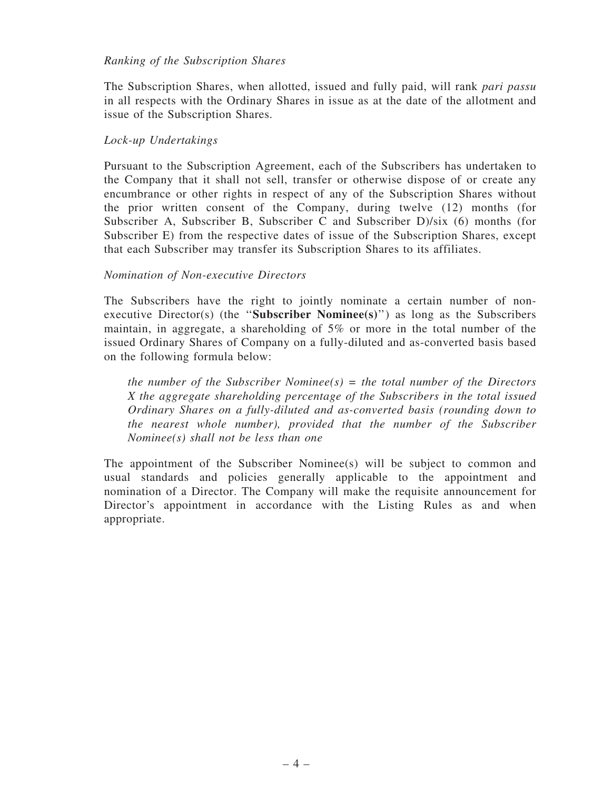#### *Ranking of the Subscription Shares*

The Subscription Shares, when allotted, issued and fully paid, will rank *pari passu* in all respects with the Ordinary Shares in issue as at the date of the allotment and issue of the Subscription Shares.

## *Lock-up Undertakings*

Pursuant to the Subscription Agreement, each of the Subscribers has undertaken to the Company that it shall not sell, transfer or otherwise dispose of or create any encumbrance or other rights in respect of any of the Subscription Shares without the prior written consent of the Company, during twelve (12) months (for Subscriber A, Subscriber B, Subscriber C and Subscriber D)/six (6) months (for Subscriber E) from the respective dates of issue of the Subscription Shares, except that each Subscriber may transfer its Subscription Shares to its affiliates.

## *Nomination of Non-executive Directors*

The Subscribers have the right to jointly nominate a certain number of nonexecutive Director(s) (the ''Subscriber Nominee(s)'') as long as the Subscribers maintain, in aggregate, a shareholding of 5% or more in the total number of the issued Ordinary Shares of Company on a fully-diluted and as-converted basis based on the following formula below:

*the number of the Subscriber Nominee(s) = the total number of the Directors X the aggregate shareholding percentage of the Subscribers in the total issued Ordinary Shares on a fully-diluted and as-converted basis (rounding down to the nearest whole number), provided that the number of the Subscriber Nominee(s) shall not be less than one*

The appointment of the Subscriber Nominee(s) will be subject to common and usual standards and policies generally applicable to the appointment and nomination of a Director. The Company will make the requisite announcement for Director's appointment in accordance with the Listing Rules as and when appropriate.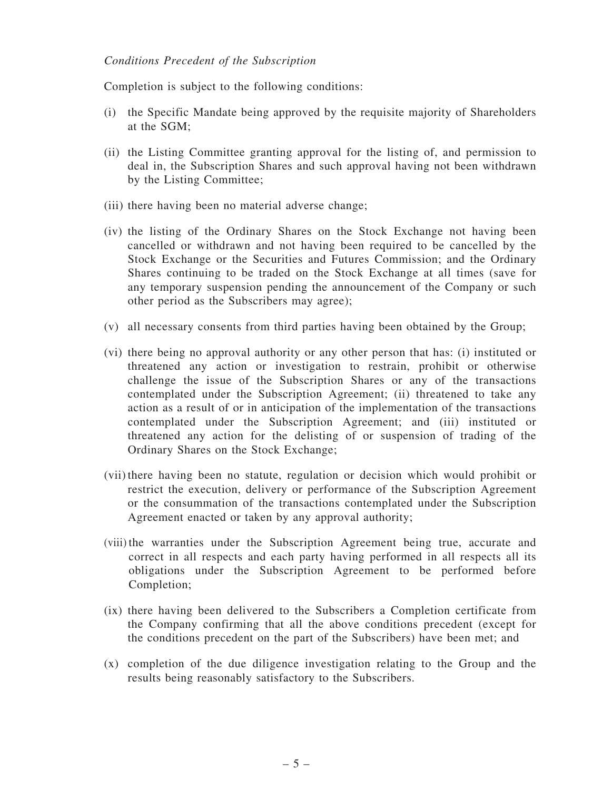#### *Conditions Precedent of the Subscription*

Completion is subject to the following conditions:

- (i) the Specific Mandate being approved by the requisite majority of Shareholders at the SGM;
- (ii) the Listing Committee granting approval for the listing of, and permission to deal in, the Subscription Shares and such approval having not been withdrawn by the Listing Committee;
- (iii) there having been no material adverse change;
- (iv) the listing of the Ordinary Shares on the Stock Exchange not having been cancelled or withdrawn and not having been required to be cancelled by the Stock Exchange or the Securities and Futures Commission; and the Ordinary Shares continuing to be traded on the Stock Exchange at all times (save for any temporary suspension pending the announcement of the Company or such other period as the Subscribers may agree);
- (v) all necessary consents from third parties having been obtained by the Group;
- (vi) there being no approval authority or any other person that has: (i) instituted or threatened any action or investigation to restrain, prohibit or otherwise challenge the issue of the Subscription Shares or any of the transactions contemplated under the Subscription Agreement; (ii) threatened to take any action as a result of or in anticipation of the implementation of the transactions contemplated under the Subscription Agreement; and (iii) instituted or threatened any action for the delisting of or suspension of trading of the Ordinary Shares on the Stock Exchange;
- (vii) there having been no statute, regulation or decision which would prohibit or restrict the execution, delivery or performance of the Subscription Agreement or the consummation of the transactions contemplated under the Subscription Agreement enacted or taken by any approval authority;
- (viii) the warranties under the Subscription Agreement being true, accurate and correct in all respects and each party having performed in all respects all its obligations under the Subscription Agreement to be performed before Completion;
- (ix) there having been delivered to the Subscribers a Completion certificate from the Company confirming that all the above conditions precedent (except for the conditions precedent on the part of the Subscribers) have been met; and
- (x) completion of the due diligence investigation relating to the Group and the results being reasonably satisfactory to the Subscribers.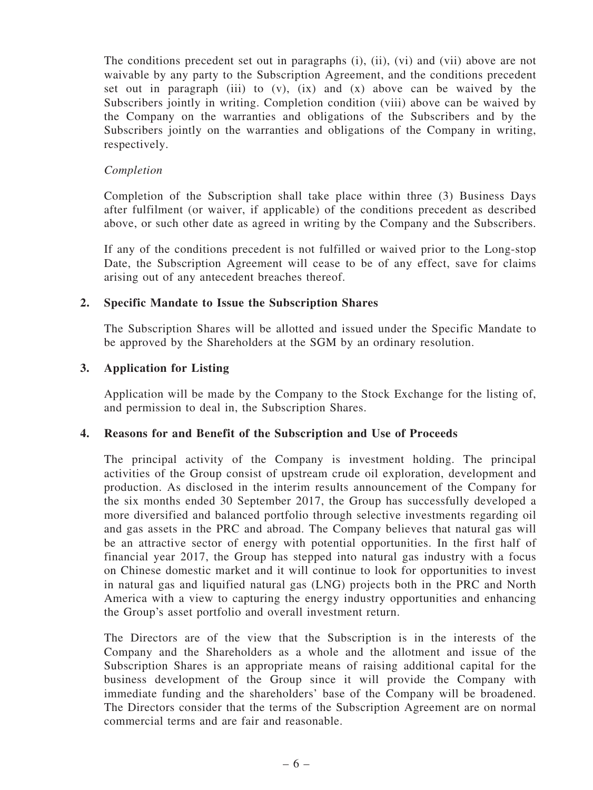The conditions precedent set out in paragraphs (i), (ii), (vi) and (vii) above are not waivable by any party to the Subscription Agreement, and the conditions precedent set out in paragraph (iii) to  $(v)$ ,  $(ix)$  and  $(x)$  above can be waived by the Subscribers jointly in writing. Completion condition (viii) above can be waived by the Company on the warranties and obligations of the Subscribers and by the Subscribers jointly on the warranties and obligations of the Company in writing, respectively.

#### *Completion*

Completion of the Subscription shall take place within three (3) Business Days after fulfilment (or waiver, if applicable) of the conditions precedent as described above, or such other date as agreed in writing by the Company and the Subscribers.

If any of the conditions precedent is not fulfilled or waived prior to the Long-stop Date, the Subscription Agreement will cease to be of any effect, save for claims arising out of any antecedent breaches thereof.

#### 2. Specific Mandate to Issue the Subscription Shares

The Subscription Shares will be allotted and issued under the Specific Mandate to be approved by the Shareholders at the SGM by an ordinary resolution.

#### 3. Application for Listing

Application will be made by the Company to the Stock Exchange for the listing of, and permission to deal in, the Subscription Shares.

#### 4. Reasons for and Benefit of the Subscription and Use of Proceeds

The principal activity of the Company is investment holding. The principal activities of the Group consist of upstream crude oil exploration, development and production. As disclosed in the interim results announcement of the Company for the six months ended 30 September 2017, the Group has successfully developed a more diversified and balanced portfolio through selective investments regarding oil and gas assets in the PRC and abroad. The Company believes that natural gas will be an attractive sector of energy with potential opportunities. In the first half of financial year 2017, the Group has stepped into natural gas industry with a focus on Chinese domestic market and it will continue to look for opportunities to invest in natural gas and liquified natural gas (LNG) projects both in the PRC and North America with a view to capturing the energy industry opportunities and enhancing the Group's asset portfolio and overall investment return.

The Directors are of the view that the Subscription is in the interests of the Company and the Shareholders as a whole and the allotment and issue of the Subscription Shares is an appropriate means of raising additional capital for the business development of the Group since it will provide the Company with immediate funding and the shareholders' base of the Company will be broadened. The Directors consider that the terms of the Subscription Agreement are on normal commercial terms and are fair and reasonable.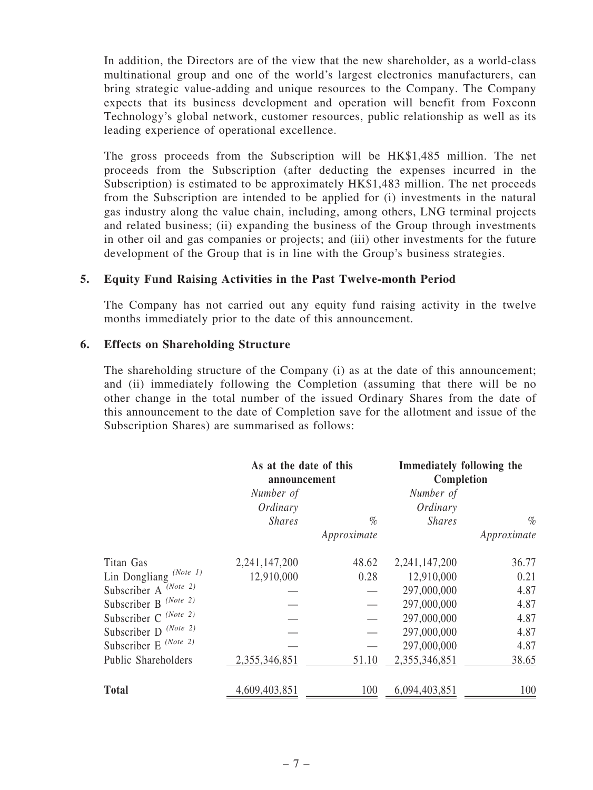In addition, the Directors are of the view that the new shareholder, as a world-class multinational group and one of the world's largest electronics manufacturers, can bring strategic value-adding and unique resources to the Company. The Company expects that its business development and operation will benefit from Foxconn Technology's global network, customer resources, public relationship as well as its leading experience of operational excellence.

The gross proceeds from the Subscription will be HK\$1,485 million. The net proceeds from the Subscription (after deducting the expenses incurred in the Subscription) is estimated to be approximately HK\$1,483 million. The net proceeds from the Subscription are intended to be applied for (i) investments in the natural gas industry along the value chain, including, among others, LNG terminal projects and related business; (ii) expanding the business of the Group through investments in other oil and gas companies or projects; and (iii) other investments for the future development of the Group that is in line with the Group's business strategies.

#### 5. Equity Fund Raising Activities in the Past Twelve-month Period

The Company has not carried out any equity fund raising activity in the twelve months immediately prior to the date of this announcement.

#### 6. Effects on Shareholding Structure

The shareholding structure of the Company (i) as at the date of this announcement; and (ii) immediately following the Completion (assuming that there will be no other change in the total number of the issued Ordinary Shares from the date of this announcement to the date of Completion save for the allotment and issue of the Subscription Shares) are summarised as follows:

|                                   | As at the date of this<br>announcement |             | Immediately following the<br>Completion |             |
|-----------------------------------|----------------------------------------|-------------|-----------------------------------------|-------------|
|                                   | Number of                              |             | Number of                               |             |
|                                   | Ordinary                               |             | Ordinary                                |             |
|                                   | <b>Shares</b>                          | $\%$        | <b>Shares</b>                           | $\%$        |
|                                   |                                        | Approximate |                                         | Approximate |
| Titan Gas                         | 2,241,147,200                          | 48.62       | 2,241,147,200                           | 36.77       |
| Lin Dongliang <sup>(Note 1)</sup> | 12,910,000                             | 0.28        | 12,910,000                              | 0.21        |
| Subscriber A (Note 2)             |                                        |             | 297,000,000                             | 4.87        |
| Subscriber B <sup>(Note 2)</sup>  |                                        |             | 297,000,000                             | 4.87        |
| Subscriber C (Note 2)             |                                        |             | 297,000,000                             | 4.87        |
| Subscriber D <sup>(Note 2)</sup>  |                                        |             | 297,000,000                             | 4.87        |
| Subscriber E <sup>(Note 2)</sup>  |                                        |             | 297,000,000                             | 4.87        |
| Public Shareholders               | 2,355,346,851                          | 51.10       | 2,355,346,851                           | 38.65       |
| <b>Total</b>                      | 4,609,403,851                          | 100         | 6,094,403,851                           | 100         |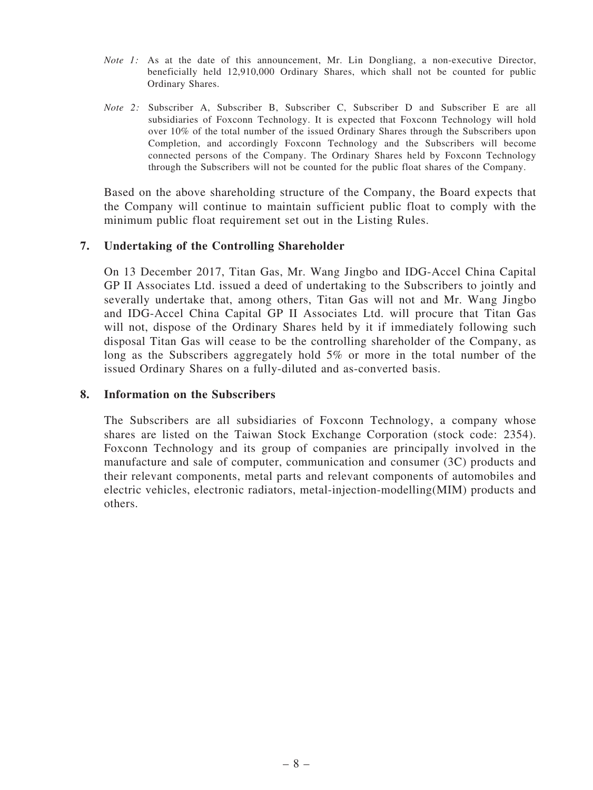- *Note 1:* As at the date of this announcement, Mr. Lin Dongliang, a non-executive Director, beneficially held 12,910,000 Ordinary Shares, which shall not be counted for public Ordinary Shares.
- *Note 2:* Subscriber A, Subscriber B, Subscriber C, Subscriber D and Subscriber E are all subsidiaries of Foxconn Technology. It is expected that Foxconn Technology will hold over 10% of the total number of the issued Ordinary Shares through the Subscribers upon Completion, and accordingly Foxconn Technology and the Subscribers will become connected persons of the Company. The Ordinary Shares held by Foxconn Technology through the Subscribers will not be counted for the public float shares of the Company.

Based on the above shareholding structure of the Company, the Board expects that the Company will continue to maintain sufficient public float to comply with the minimum public float requirement set out in the Listing Rules.

#### 7. Undertaking of the Controlling Shareholder

On 13 December 2017, Titan Gas, Mr. Wang Jingbo and IDG-Accel China Capital GP II Associates Ltd. issued a deed of undertaking to the Subscribers to jointly and severally undertake that, among others, Titan Gas will not and Mr. Wang Jingbo and IDG-Accel China Capital GP II Associates Ltd. will procure that Titan Gas will not, dispose of the Ordinary Shares held by it if immediately following such disposal Titan Gas will cease to be the controlling shareholder of the Company, as long as the Subscribers aggregately hold 5% or more in the total number of the issued Ordinary Shares on a fully-diluted and as-converted basis.

#### 8. Information on the Subscribers

The Subscribers are all subsidiaries of Foxconn Technology, a company whose shares are listed on the Taiwan Stock Exchange Corporation (stock code: 2354). Foxconn Technology and its group of companies are principally involved in the manufacture and sale of computer, communication and consumer (3C) products and their relevant components, metal parts and relevant components of automobiles and electric vehicles, electronic radiators, metal-injection-modelling(MIM) products and others.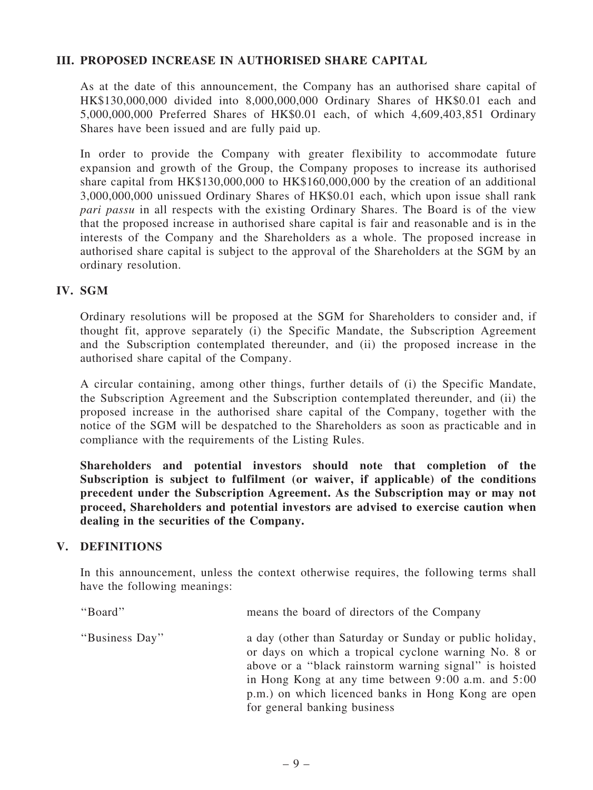## III. PROPOSED INCREASE IN AUTHORISED SHARE CAPITAL

As at the date of this announcement, the Company has an authorised share capital of HK\$130,000,000 divided into 8,000,000,000 Ordinary Shares of HK\$0.01 each and 5,000,000,000 Preferred Shares of HK\$0.01 each, of which 4,609,403,851 Ordinary Shares have been issued and are fully paid up.

In order to provide the Company with greater flexibility to accommodate future expansion and growth of the Group, the Company proposes to increase its authorised share capital from HK\$130,000,000 to HK\$160,000,000 by the creation of an additional 3,000,000,000 unissued Ordinary Shares of HK\$0.01 each, which upon issue shall rank *pari passu* in all respects with the existing Ordinary Shares. The Board is of the view that the proposed increase in authorised share capital is fair and reasonable and is in the interests of the Company and the Shareholders as a whole. The proposed increase in authorised share capital is subject to the approval of the Shareholders at the SGM by an ordinary resolution.

## IV. SGM

Ordinary resolutions will be proposed at the SGM for Shareholders to consider and, if thought fit, approve separately (i) the Specific Mandate, the Subscription Agreement and the Subscription contemplated thereunder, and (ii) the proposed increase in the authorised share capital of the Company.

A circular containing, among other things, further details of (i) the Specific Mandate, the Subscription Agreement and the Subscription contemplated thereunder, and (ii) the proposed increase in the authorised share capital of the Company, together with the notice of the SGM will be despatched to the Shareholders as soon as practicable and in compliance with the requirements of the Listing Rules.

Shareholders and potential investors should note that completion of the Subscription is subject to fulfilment (or waiver, if applicable) of the conditions precedent under the Subscription Agreement. As the Subscription may or may not proceed, Shareholders and potential investors are advised to exercise caution when dealing in the securities of the Company.

#### V. DEFINITIONS

In this announcement, unless the context otherwise requires, the following terms shall have the following meanings:

| "Board"        | means the board of directors of the Company                                                                                                                                                                                                                                                                             |
|----------------|-------------------------------------------------------------------------------------------------------------------------------------------------------------------------------------------------------------------------------------------------------------------------------------------------------------------------|
| "Business Day" | a day (other than Saturday or Sunday or public holiday,<br>or days on which a tropical cyclone warning No. 8 or<br>above or a "black rainstorm warning signal" is hoisted<br>in Hong Kong at any time between 9:00 a.m. and 5:00<br>p.m.) on which licenced banks in Hong Kong are open<br>for general banking business |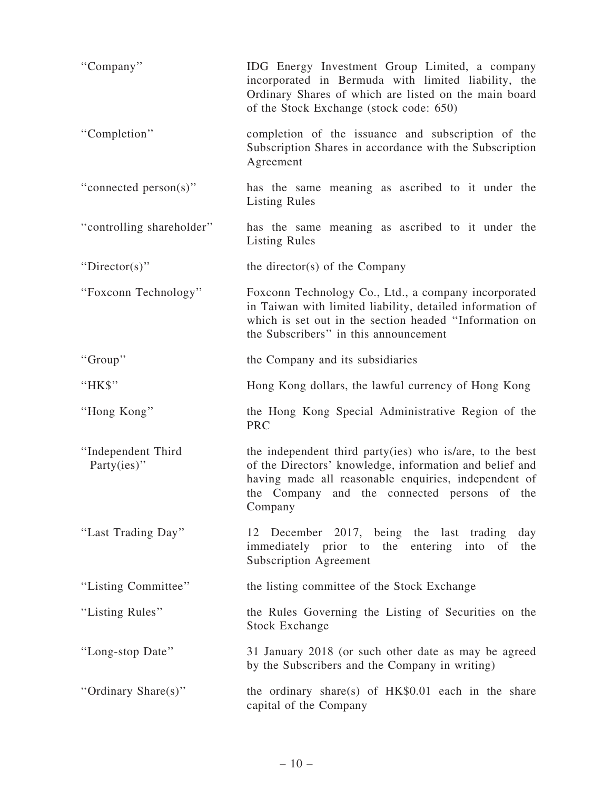| "Company"                             | IDG Energy Investment Group Limited, a company<br>incorporated in Bermuda with limited liability, the<br>Ordinary Shares of which are listed on the main board<br>of the Stock Exchange (stock code: 650)                              |
|---------------------------------------|----------------------------------------------------------------------------------------------------------------------------------------------------------------------------------------------------------------------------------------|
| "Completion"                          | completion of the issuance and subscription of the<br>Subscription Shares in accordance with the Subscription<br>Agreement                                                                                                             |
| "connected person(s)"                 | has the same meaning as ascribed to it under the<br><b>Listing Rules</b>                                                                                                                                                               |
| "controlling shareholder"             | has the same meaning as ascribed to it under the<br><b>Listing Rules</b>                                                                                                                                                               |
| "Director(s)"                         | the director(s) of the Company                                                                                                                                                                                                         |
| "Foxconn Technology"                  | Foxconn Technology Co., Ltd., a company incorporated<br>in Taiwan with limited liability, detailed information of<br>which is set out in the section headed "Information on<br>the Subscribers" in this announcement                   |
| "Group"                               | the Company and its subsidiaries                                                                                                                                                                                                       |
| "HK\$"                                | Hong Kong dollars, the lawful currency of Hong Kong                                                                                                                                                                                    |
| "Hong Kong"                           | the Hong Kong Special Administrative Region of the<br><b>PRC</b>                                                                                                                                                                       |
| "Independent Third<br>Party $(ies)$ " | the independent third party(ies) who is/are, to the best<br>of the Directors' knowledge, information and belief and<br>having made all reasonable enquiries, independent of<br>the Company and the connected persons of the<br>Company |
| "Last Trading Day"                    | 12 December 2017, being the last trading<br>day<br>immediately prior to the<br>entering into<br>of<br>the<br><b>Subscription Agreement</b>                                                                                             |
| "Listing Committee"                   | the listing committee of the Stock Exchange                                                                                                                                                                                            |
| "Listing Rules"                       | the Rules Governing the Listing of Securities on the<br><b>Stock Exchange</b>                                                                                                                                                          |
| "Long-stop Date"                      | 31 January 2018 (or such other date as may be agreed<br>by the Subscribers and the Company in writing)                                                                                                                                 |
| "Ordinary Share(s)"                   | the ordinary share(s) of $HK$0.01$ each in the share<br>capital of the Company                                                                                                                                                         |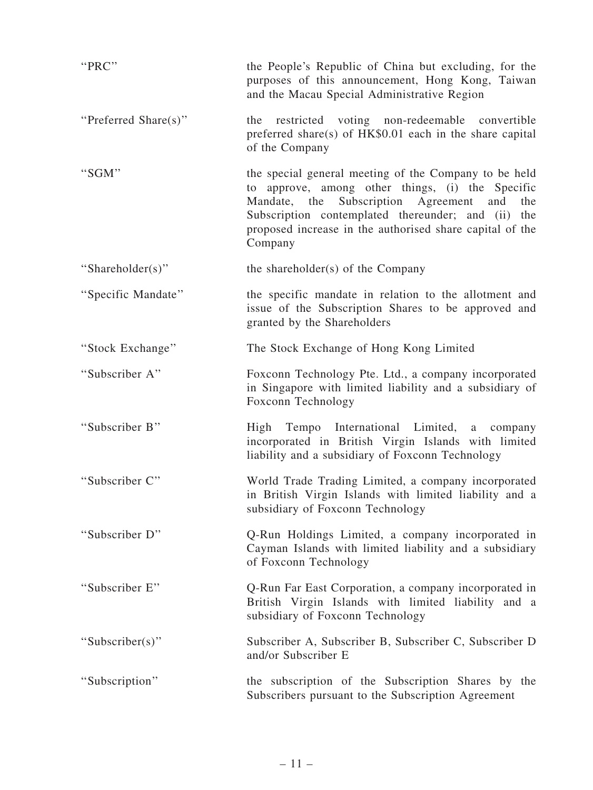| "PRC"                | the People's Republic of China but excluding, for the<br>purposes of this announcement, Hong Kong, Taiwan<br>and the Macau Special Administrative Region                                                                                                                                          |
|----------------------|---------------------------------------------------------------------------------------------------------------------------------------------------------------------------------------------------------------------------------------------------------------------------------------------------|
| "Preferred Share(s)" | restricted voting non-redeemable convertible<br>the<br>preferred share(s) of HK\$0.01 each in the share capital<br>of the Company                                                                                                                                                                 |
| "SGM"                | the special general meeting of the Company to be held<br>to approve, among other things, (i) the Specific<br>Subscription<br>Mandate, the<br>Agreement<br>and<br>the<br>Subscription contemplated thereunder; and (ii) the<br>proposed increase in the authorised share capital of the<br>Company |
| "Shareholder(s)"     | the shareholder(s) of the Company                                                                                                                                                                                                                                                                 |
| "Specific Mandate"   | the specific mandate in relation to the allotment and<br>issue of the Subscription Shares to be approved and<br>granted by the Shareholders                                                                                                                                                       |
| "Stock Exchange"     | The Stock Exchange of Hong Kong Limited                                                                                                                                                                                                                                                           |
| "Subscriber A"       | Foxconn Technology Pte. Ltd., a company incorporated<br>in Singapore with limited liability and a subsidiary of<br>Foxconn Technology                                                                                                                                                             |
| "Subscriber B"       | Tempo International Limited, a company<br>High<br>incorporated in British Virgin Islands with limited<br>liability and a subsidiary of Foxconn Technology                                                                                                                                         |
| "Subscriber C"       | World Trade Trading Limited, a company incorporated<br>in British Virgin Islands with limited liability and a<br>subsidiary of Foxconn Technology                                                                                                                                                 |
| "Subscriber D"       | Q-Run Holdings Limited, a company incorporated in<br>Cayman Islands with limited liability and a subsidiary<br>of Foxconn Technology                                                                                                                                                              |
| "Subscriber E"       | Q-Run Far East Corporation, a company incorporated in<br>British Virgin Islands with limited liability and a<br>subsidiary of Foxconn Technology                                                                                                                                                  |
| "Subscriber(s)"      | Subscriber A, Subscriber B, Subscriber C, Subscriber D<br>and/or Subscriber E                                                                                                                                                                                                                     |
| "Subscription"       | the subscription of the Subscription Shares by the<br>Subscribers pursuant to the Subscription Agreement                                                                                                                                                                                          |